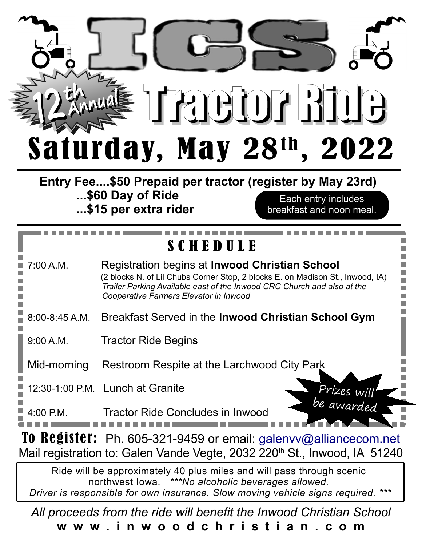

**Entry Fee....\$50 Prepaid per tractor (register by May 23rd) ...\$60 Day of Ride ...\$15 per extra rider** Each entry includes breakfast and noon meal.

## S C H E D U L E

| 7:00 A.M.          | Registration begins at <b>Inwood Christian School</b><br>(2 blocks N. of Lil Chubs Corner Stop, 2 blocks E. on Madison St., Inwood, IA)<br>Trailer Parking Available east of the Inwood CRC Church and also at the<br>Cooperative Farmers Elevator in Inwood |
|--------------------|--------------------------------------------------------------------------------------------------------------------------------------------------------------------------------------------------------------------------------------------------------------|
| $8:00 - 8:45 A.M.$ | Breakfast Served in the Inwood Christian School Gym                                                                                                                                                                                                          |
| 9:00 A.M.          | <b>Tractor Ride Begins</b>                                                                                                                                                                                                                                   |
| Mid-morning        | Restroom Respite at the Larchwood City Park                                                                                                                                                                                                                  |
|                    | 12:30-1:00 P.M. Lunch at Granite<br>Prizes will                                                                                                                                                                                                              |
| $4:00$ P.M.        | <b>Tractor Ride Concludes in Inwood</b>                                                                                                                                                                                                                      |

To Register: Ph. 605-321-9459 or email: [galenvv@alliancecom.net](mailto:galenvv@alliancecom.net) Mail registration to: Galen Vande Vegte, 2032 220<sup>th</sup> St., Inwood, IA 51240

Ride will be approximately 40 plus miles and will pass through scenic northwest Iowa. *\*\*\*No alcoholic beverages allowed. Driver is responsible for own insurance. Slow moving vehicle signs required. \*\*\**

*All proceeds from the ride will benefit the Inwood Christian School* **w w w . i n w o o d c h r i s t i a n . c o m**